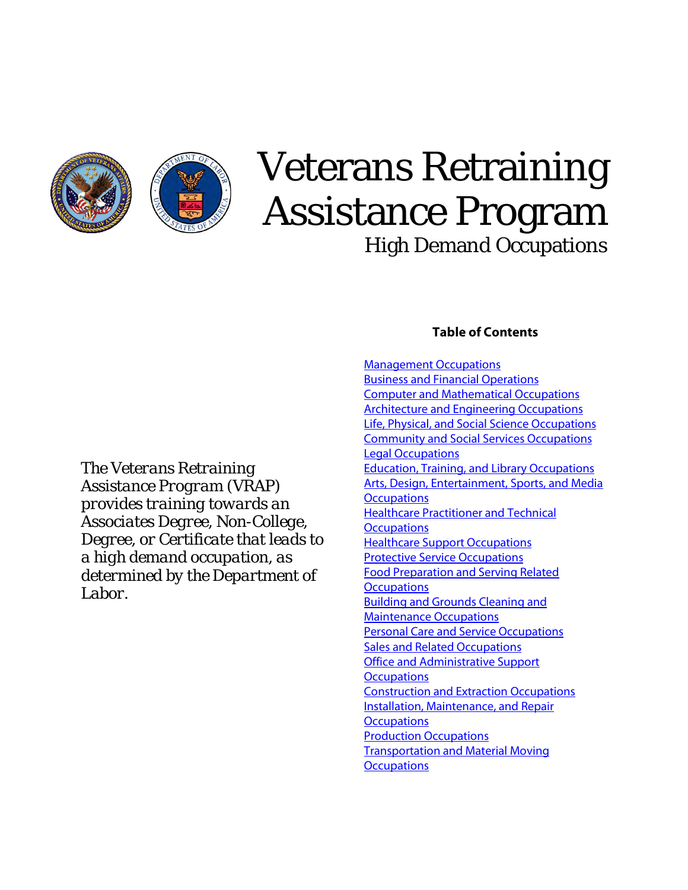



# Veterans Retraining Assistance Program High Demand Occupations

*The Veterans Retraining Assistance Program (VRAP) provides training towards an Associates Degree, Non-College, Degree, or Certificate that leads to a high demand occupation, as determined by the Department of Labor.*

#### **Table of Contents**

<span id="page-0-2"></span><span id="page-0-1"></span><span id="page-0-0"></span>**[Management Occupations](#page-1-0) [Business and Financial Operations](#page-1-1) [Computer and Mathematical Occupations](#page-1-2) [Architecture and Engineering Occupations](#page-1-3) [Life, Physical, and Social Science Occupations](#page-1-4) [Community and Social Services Occupations](#page-0-0) [Legal Occupations](#page-1-5) [Education, Training, and Library Occupations](#page-1-6)** Arts, Design, Entertainment, Sports, and Media [Occupations](#page-1-7)*<sup>U</sup>* **Healthcare Practitioner and Technical** [Occupations](#page-2-0)*<sup>U</sup>* **[Healthcare Support Occupations](#page-2-1) [Protective Service Occupations](#page-0-1) Food Preparation and Serving Related** [Occupations](#page-2-2)*<sup>U</sup>* **Building and Grounds Cleaning and [Maintenance Occupations](#page-2-3) [Personal Care and Service Occupations](#page-2-4) 2BHUP**[Sales and Related Occupations](#page-3-0) **Office and Administrative Support** [Occupations](#page-3-1)*<sup>U</sup> 3BHU*[Construction and Extraction Occupations](#page-3-2)*<sup>U</sup>* **Installation, Maintenance, and Repair** [Occupations](#page-3-3)*<sup>U</sup>* **[Production Occupations](#page-0-2) Transportation and Material Moving** [Occupations](#page-5-0)*U*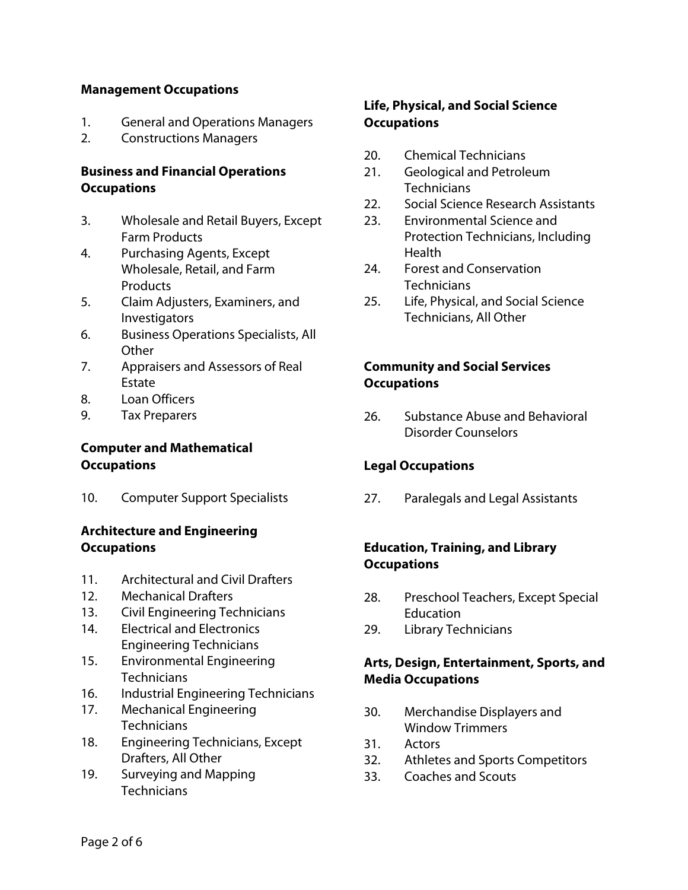#### <span id="page-1-0"></span>*5B***Management Occupations**

- 1. General and Operations Managers
- 2. Constructions Managers

#### <span id="page-1-1"></span>*6B***Business and Financial Operations Occupations**

- 3. Wholesale and Retail Buyers, Except Farm Products
- 4. Purchasing Agents, Except Wholesale, Retail, and Farm **Products**
- 5. Claim Adjusters, Examiners, and Investigators
- 6. Business Operations Specialists, All Other
- 7. Appraisers and Assessors of Real Estate
- 8. Loan Officers
- 9. Tax Preparers

#### <span id="page-1-2"></span>*<u>Computer and Mathematical</u>* **Occupations**

10. Computer Support Specialists

## <span id="page-1-3"></span>*8B***Architecture and Engineering Occupations**

- 11. Architectural and Civil Drafters
- 12. Mechanical Drafters
- 13. Civil Engineering Technicians
- 14. Electrical and Electronics Engineering Technicians
- 15. Environmental Engineering **Technicians**
- 16. Industrial Engineering Technicians
- 17. Mechanical Engineering **Technicians**
- 18. Engineering Technicians, Except Drafters, All Other
- 19. Surveying and Mapping **Technicians**

# <span id="page-1-4"></span>*9B***Life, Physical, and Social Science Occupations**

- 20. Chemical Technicians
- 21. Geological and Petroleum **Technicians**
- 22. Social Science Research Assistants
- 23. Environmental Science and Protection Technicians, Including **Health**
- 24. Forest and Conservation **Technicians**
- 25. Life, Physical, and Social Science Technicians, All Other

# *Community and Social Services* **Occupations**

26. Substance Abuse and Behavioral Disorder Counselors

#### <span id="page-1-5"></span>*1B***Legal Occupations**

27. Paralegals and Legal Assistants

# <span id="page-1-6"></span>*12B***Education, Training, and Library Occupations**

- 28. Preschool Teachers, Except Special **Education**
- 29. Library Technicians

#### <span id="page-1-7"></span>*13B***Arts, Design, Entertainment, Sports, and Media Occupations**

- 30. Merchandise Displayers and Window Trimmers
- 31. Actors
- 32. Athletes and Sports Competitors
- 33. Coaches and Scouts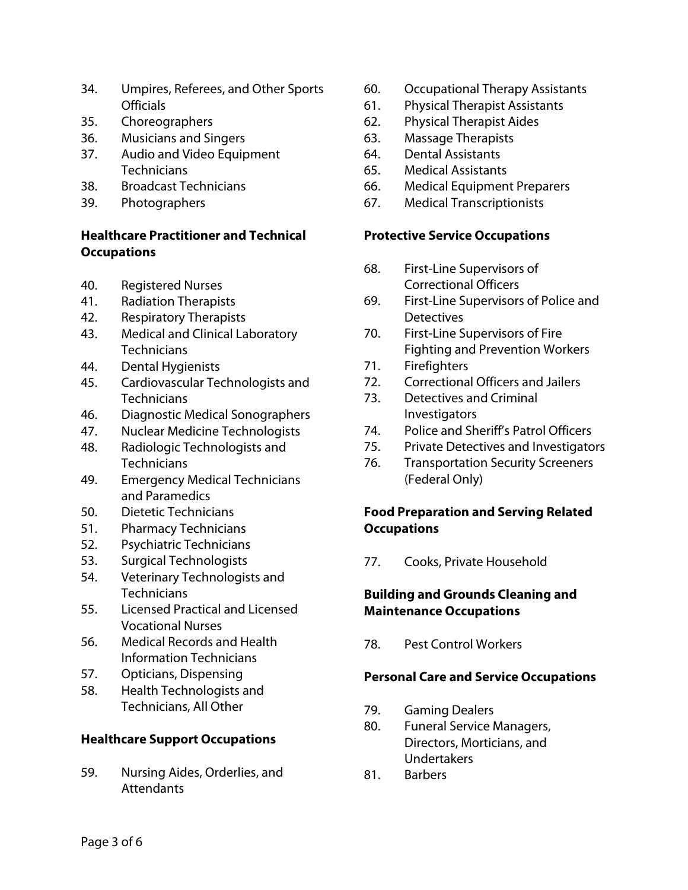- 34. Umpires, Referees, and Other Sports **Officials**
- 35. Choreographers
- 36. Musicians and Singers
- 37. Audio and Video Equipment **Technicians**
- 38. Broadcast Technicians
- 39. Photographers

# <span id="page-2-0"></span>**Healthcare Practitioner and Technical Occupations**

- 40. Registered Nurses
- 41. Radiation Therapists
- 42. Respiratory Therapists
- 43. Medical and Clinical Laboratory **Technicians**
- 44. Dental Hygienists
- 45. Cardiovascular Technologists and **Technicians**
- 46. Diagnostic Medical Sonographers
- 47. Nuclear Medicine Technologists
- 48. Radiologic Technologists and **Technicians**
- 49. Emergency Medical Technicians and Paramedics
- 50. Dietetic Technicians
- 51. Pharmacy Technicians
- 52. Psychiatric Technicians
- 53. Surgical Technologists
- 54. Veterinary Technologists and **Technicians**
- 55. Licensed Practical and Licensed Vocational Nurses
- 56. Medical Records and Health Information Technicians
- 57. Opticians, Dispensing
- 58. Health Technologists and Technicians, All Other

# <span id="page-2-1"></span>*14B***Healthcare Support Occupations**

59. Nursing Aides, Orderlies, and **Attendants** 

- 60. Occupational Therapy Assistants
- 61. Physical Therapist Assistants
- 62. Physical Therapist Aides
- 63. Massage Therapists
- 64. Dental Assistants
- 65. Medical Assistants
- 66. Medical Equipment Preparers
- 67. Medical Transcriptionists

#### *15B***Protective Service Occupations**

- 68. First-Line Supervisors of Correctional Officers
- 69. First-Line Supervisors of Police and **Detectives**
- 70. First-Line Supervisors of Fire Fighting and Prevention Workers
- 71. Firefighters
- 72. Correctional Officers and Jailers
- 73. Detectives and Criminal Investigators
- 74. Police and Sheriff's Patrol Officers
- 75. Private Detectives and Investigators
- 76. Transportation Security Screeners (Federal Only)

# <span id="page-2-2"></span>**Food Preparation and Serving Related Occupations**

77. Cooks, Private Household

## <span id="page-2-3"></span>**Building and Grounds Cleaning and Maintenance Occupations**

78. Pest Control Workers

# <span id="page-2-4"></span>*16B***Personal Care and Service Occupations**

- 79. Gaming Dealers
- 80. Funeral Service Managers, Directors, Morticians, and Undertakers
- 81. Barbers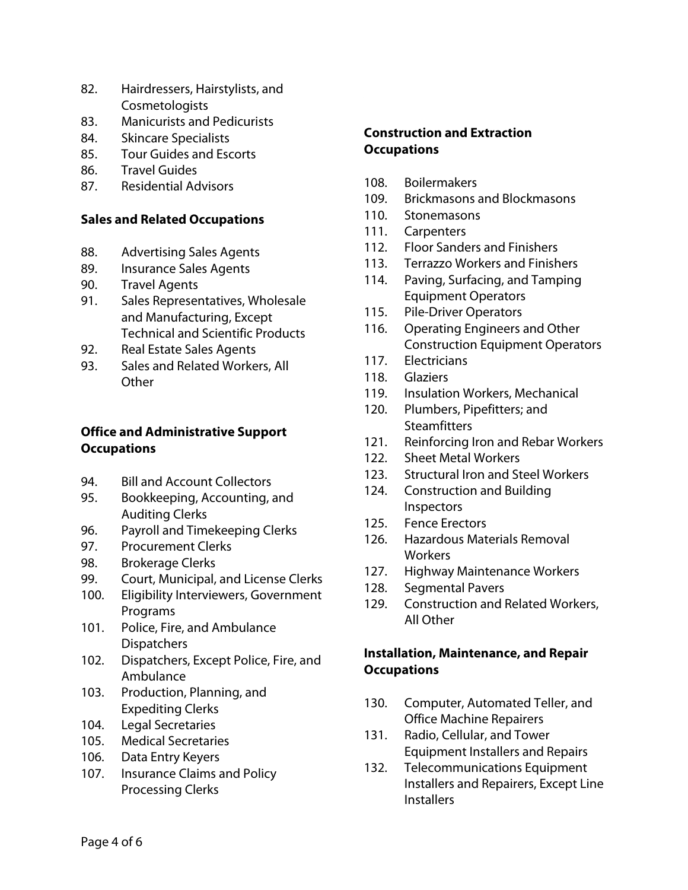- 82. Hairdressers, Hairstylists, and Cosmetologists
- 83. Manicurists and Pedicurists
- 84. Skincare Specialists
- 85. Tour Guides and Escorts
- 86. Travel Guides
- 87. Residential Advisors

#### <span id="page-3-0"></span>*Sales and Related Occupations*

- 88. Advertising Sales Agents
- 89. Insurance Sales Agents
- 90. Travel Agents
- 91. Sales Representatives, Wholesale and Manufacturing, Except Technical and Scientific Products
- 92. Real Estate Sales Agents
- 93. Sales and Related Workers, All **Other**

## <span id="page-3-1"></span>**Office and Administrative Support Occupations**

- 94. Bill and Account Collectors
- 95. Bookkeeping, Accounting, and Auditing Clerks
- 96. Payroll and Timekeeping Clerks
- 97. Procurement Clerks
- 98. Brokerage Clerks
- 99. Court, Municipal, and License Clerks
- 100. Eligibility Interviewers, Government Programs
- 101. Police, Fire, and Ambulance **Dispatchers**
- 102. Dispatchers, Except Police, Fire, and Ambulance
- 103. Production, Planning, and Expediting Clerks
- 104. Legal Secretaries
- 105. Medical Secretaries
- 106. Data Entry Keyers
- 107. Insurance Claims and Policy Processing Clerks

## <span id="page-3-2"></span>**Construction and Extraction Occupations**

- 108. Boilermakers
- 109. Brickmasons and Blockmasons
- 110. Stonemasons
- 111. Carpenters
- 112. Floor Sanders and Finishers
- 113. Terrazzo Workers and Finishers
- 114. Paving, Surfacing, and Tamping Equipment Operators
- 115. Pile-Driver Operators
- 116. Operating Engineers and Other Construction Equipment Operators
- 117. Electricians
- 118. Glaziers
- 119. Insulation Workers, Mechanical
- 120. Plumbers, Pipefitters; and **Steamfitters**
- 121. Reinforcing Iron and Rebar Workers
- 122. Sheet Metal Workers
- 123. Structural Iron and Steel Workers
- 124. Construction and Building Inspectors
- 125. Fence Erectors
- 126. Hazardous Materials Removal **Workers**
- 127. Highway Maintenance Workers
- 128. Segmental Pavers
- 129. Construction and Related Workers, All Other

## <span id="page-3-3"></span>**Installation, Maintenance, and Repair Occupations**

- 130. Computer, Automated Teller, and Office Machine Repairers
- 131. Radio, Cellular, and Tower Equipment Installers and Repairs
- 132. Telecommunications Equipment Installers and Repairers, Except Line **Installers**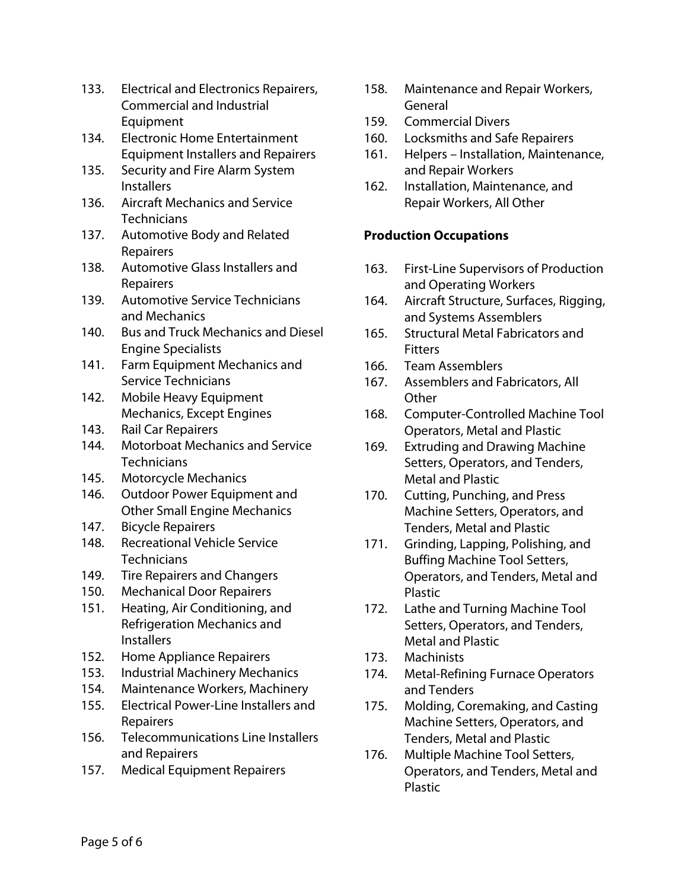- 133. Electrical and Electronics Repairers, Commercial and Industrial Equipment
- 134. Electronic Home Entertainment Equipment Installers and Repairers
- 135. Security and Fire Alarm System **Installers**
- 136. Aircraft Mechanics and Service **Technicians**
- 137. Automotive Body and Related Repairers
- 138. Automotive Glass Installers and Repairers
- 139. Automotive Service Technicians and Mechanics
- 140. Bus and Truck Mechanics and Diesel Engine Specialists
- 141. Farm Equipment Mechanics and Service Technicians
- 142. Mobile Heavy Equipment Mechanics, Except Engines
- 143. Rail Car Repairers
- 144. Motorboat Mechanics and Service **Technicians**
- 145. Motorcycle Mechanics
- 146. Outdoor Power Equipment and Other Small Engine Mechanics
- 147. Bicycle Repairers
- 148. Recreational Vehicle Service **Technicians**
- 149. Tire Repairers and Changers
- 150. Mechanical Door Repairers
- 151. Heating, Air Conditioning, and Refrigeration Mechanics and **Installers**
- 152. Home Appliance Repairers
- 153. Industrial Machinery Mechanics
- 154. Maintenance Workers, Machinery
- 155. Electrical Power-Line Installers and Repairers
- 156. Telecommunications Line Installers and Repairers
- 157. Medical Equipment Repairers
- 158. Maintenance and Repair Workers, General
- 159. Commercial Divers
- 160. Locksmiths and Safe Repairers
- 161. Helpers Installation, Maintenance, and Repair Workers
- 162. Installation, Maintenance, and Repair Workers, All Other

# **Production Occupations**

- 163. First-Line Supervisors of Production and Operating Workers
- 164. Aircraft Structure, Surfaces, Rigging, and Systems Assemblers
- 165. Structural Metal Fabricators and **Fitters**
- 166. Team Assemblers
- 167. Assemblers and Fabricators, All **Other**
- 168. Computer-Controlled Machine Tool Operators, Metal and Plastic
- 169. Extruding and Drawing Machine Setters, Operators, and Tenders, Metal and Plastic
- 170. Cutting, Punching, and Press Machine Setters, Operators, and Tenders, Metal and Plastic
- 171. Grinding, Lapping, Polishing, and Buffing Machine Tool Setters, Operators, and Tenders, Metal and Plastic
- 172. Lathe and Turning Machine Tool Setters, Operators, and Tenders, Metal and Plastic
- 173. Machinists
- 174. Metal-Refining Furnace Operators and Tenders
- 175. Molding, Coremaking, and Casting Machine Setters, Operators, and Tenders, Metal and Plastic
- 176. Multiple Machine Tool Setters, Operators, and Tenders, Metal and Plastic